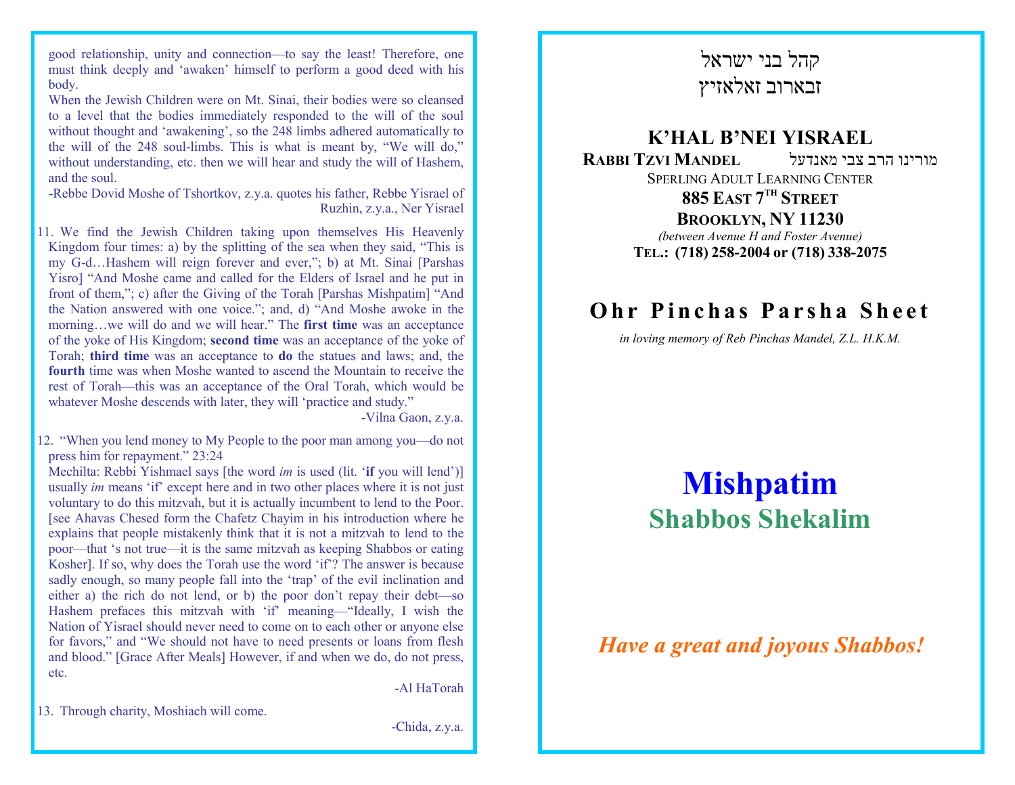good relationship, unity and connection—to say the least! Therefore, one must think deeply and 'awaken' himself to perform a good deed with his body.

 When the Jewish Children were on Mt. Sinai, their bodies were so cleansed to a level that the bodies immediately responded to the will of the soul without thought and 'awakening', so the 248 limbs adhered automatically to the will of the 248 soul-limbs. This is what is meant by, "We will do," without understanding, etc. then we will hear and study the will of Hashem, and the soul.

 -Rebbe Dovid Moshe of Tshortkov, z.y.a. quotes his father, Rebbe Yisrael of Ruzhin, z.y.a., Ner Yisrael

11. We find the Jewish Children taking upon themselves His Heavenly Kingdom four times: a) by the splitting of the sea when they said, "This is my G-d…Hashem will reign forever and ever,"; b) at Mt. Sinai [Parshas Yisro] "And Moshe came and called for the Elders of Israel and he put in front of them,"; c) after the Giving of the Torah [Parshas Mishpatim] "And the Nation answered with one voice."; and, d) "And Moshe awoke in the morning...we will do and we will hear." The first time was an acceptance of the yoke of His Kingdom; second time was an acceptance of the yoke of Torah; third time was an acceptance to do the statues and laws; and, the fourth time was when Moshe wanted to ascend the Mountain to receive the rest of Torah—this was an acceptance of the Oral Torah, which would be whatever Moshe descends with later, they will 'practice and study."

-Vilna Gaon, z.y.a.

12. "When you lend money to My People to the poor man among you—do not press him for repayment." 23:24

Mechilta: Rebbi Yishmael says [the word im is used (lit. 'if you will lend')] usually *im* means 'if' except here and in two other places where it is not just voluntary to do this mitzvah, but it is actually incumbent to lend to the Poor. [see Ahavas Chesed form the Chafetz Chayim in his introduction where he explains that people mistakenly think that it is not a mitzvah to lend to the poor—that 's not true—it is the same mitzvah as keeping Shabbos or eating Kosher]. If so, why does the Torah use the word 'if'? The answer is because sadly enough, so many people fall into the 'trap' of the evil inclination and either a) the rich do not lend, or b) the poor don't repay their debt—so Hashem prefaces this mitzvah with 'if' meaning-"Ideally, I wish the Nation of Yisrael should never need to come on to each other or anyone else for favors," and "We should not have to need presents or loans from flesh and blood." [Grace After Meals] However, if and when we do, do not press, etc.

-Al HaTorah

13. Through charity, Moshiach will come.

-Chida, z.y.a.

## קהל בני ישראלזבארוב זאלאזיץ

### K'HAL B'NEI YISRAEL מורינו הרב צבי מאנדעל RABBI TZVI MANDEL SPERLING ADULT LEARNING CENTER885 East 7<sup>th</sup> Street **BROOKLYN, NY 11230**<br>bygger Aygrive H and Eoster Aygri (between Avenue H and Foster Avenue) TEL.: (718) 258-2004 or (718) 338-2075

## Ohr Pinchas Parsha Sheet

in loving memory of Reb Pinchas Mandel, Z.L. H.K.M.

# Mishpatim Shabbos Shekalim

### Have a great and joyous Shabbos!